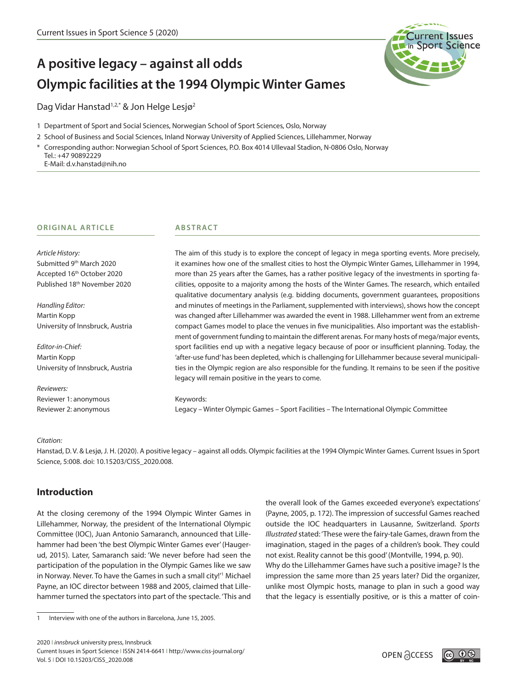

# **A positive legacy – against all odds Olympic facilities at the 1994 Olympic Winter Games**

Dag Vidar Hanstad<sup>1,2,\*</sup> & Jon Helge Lesjø<sup>2</sup>

- 1 Department of Sport and Social Sciences, Norwegian School of Sport Sciences, Oslo, Norway
- 2 School of Business and Social Sciences, Inland Norway University of Applied Sciences, Lillehammer, Norway
- \* Corresponding author: Norwegian School of Sport Sciences, P.O. Box 4014 Ullevaal Stadion, N-0806 Oslo, Norway Tel.: +47 90892229
	- E-Mail: d.v.hanstad@nih.no

## **ORIGINAL ARTICLE**

*Article History:* Submitted 9<sup>th</sup> March 2020 Accepted 16th October 2020 Published 18<sup>th</sup> November 2020

*Handling Editor:* Martin Kopp University of Innsbruck, Austria

*Editor-in-Chief:* Martin Kopp University of Innsbruck, Austria

*Reviewers:* Reviewer 1: anonymous Reviewer 2: anonymous

## **ABSTRACT**

The aim of this study is to explore the concept of legacy in mega sporting events. More precisely, it examines how one of the smallest cities to host the Olympic Winter Games, Lillehammer in 1994, more than 25 years after the Games, has a rather positive legacy of the investments in sporting facilities, opposite to a majority among the hosts of the Winter Games. The research, which entailed qualitative documentary analysis (e.g. bidding documents, government guarantees, propositions and minutes of meetings in the Parliament, supplemented with interviews), shows how the concept was changed after Lillehammer was awarded the event in 1988. Lillehammer went from an extreme compact Games model to place the venues in five municipalities. Also important was the establishment of government funding to maintain the different arenas. For many hosts of mega/major events, sport facilities end up with a negative legacy because of poor or insufficient planning. Today, the 'after-use fund' has been depleted, which is challenging for Lillehammer because several municipalities in the Olympic region are also responsible for the funding. It remains to be seen if the positive legacy will remain positive in the years to come.

#### Keywords:

Legacy – Winter Olympic Games – Sport Facilities – The International Olympic Committee

## *Citation:*

Hanstad, D. V. & Lesjø, J. H. (2020). A positive legacy – against all odds. Olympic facilities at the 1994 Olympic Winter Games. Current Issues in Sport Science, 5:008. doi: 10.15203/CISS\_2020.008.

## **Introduction**

At the closing ceremony of the 1994 Olympic Winter Games in Lillehammer, Norway, the president of the International Olympic Committee (IOC), Juan Antonio Samaranch, announced that Lillehammer had been 'the best Olympic Winter Games ever' (Haugerud, 2015). Later, Samaranch said: 'We never before had seen the participation of the population in the Olympic Games like we saw in Norway. Never. To have the Games in such a small city!'1 Michael Payne, an IOC director between 1988 and 2005, claimed that Lillehammer turned the spectators into part of the spectacle. 'This and

2020 I *innsbruck* university press, Innsbruck Current Issues in Sport Science I ISSN 2414-6641 I http://www.ciss-journal.org/ Current issues in Sport Science | ISSN 2414-66411 http://www.ciss-journal.org/<br>Vol. 5 | DOI 10.15203/CISS\_2020.008 OPEN ACCESS

the overall look of the Games exceeded everyone's expectations' (Payne, 2005, p. 172). The impression of successful Games reached outside the IOC headquarters in Lausanne, Switzerland. *Sports Illustrated* stated: 'These were the fairy-tale Games, drawn from the imagination, staged in the pages of a children's book. They could not exist. Reality cannot be this good' (Montville, 1994, p. 90).

Why do the Lillehammer Games have such a positive image? Is the impression the same more than 25 years later? Did the organizer, unlike most Olympic hosts, manage to plan in such a good way that the legacy is essentially positive, or is this a matter of coin-



<sup>1</sup> Interview with one of the authors in Barcelona, June 15, 2005.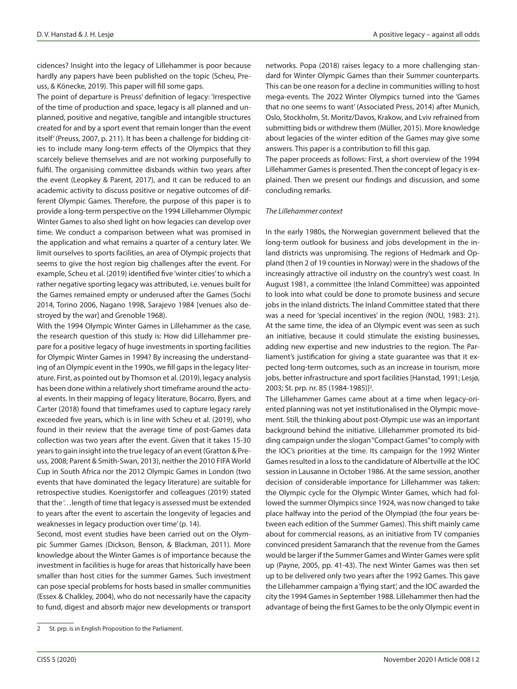cidences? Insight into the legacy of Lillehammer is poor because hardly any papers have been published on the topic (Scheu, Preuss, & Könecke, 2019). This paper will fill some gaps.

The point of departure is Preuss' definition of legacy: 'Irrespective of the time of production and space, legacy is all planned and unplanned, positive and negative, tangible and intangible structures created for and by a sport event that remain longer than the event itself' (Preuss, 2007, p. 211). It has been a challenge for bidding cities to include many long-term effects of the Olympics that they scarcely believe themselves and are not working purposefully to fulfil. The organising committee disbands within two years after the event (Leopkey & Parent, 2017), and it can be reduced to an academic activity to discuss positive or negative outcomes of different Olympic Games. Therefore, the purpose of this paper is to provide a long-term perspective on the 1994 Lillehammer Olympic Winter Games to also shed light on how legacies can develop over time. We conduct a comparison between what was promised in the application and what remains a quarter of a century later. We limit ourselves to sports facilities, an area of Olympic projects that seems to give the host region big challenges after the event. For example, Scheu et al. (2019) identified five 'winter cities' to which a rather negative sporting legacy was attributed, i.e. venues built for the Games remained empty or underused after the Games (Sochi 2014, Torino 2006, Nagano 1998, Sarajevo 1984 [venues also destroyed by the war] and Grenoble 1968).

With the 1994 Olympic Winter Games in Lillehammer as the case, the research question of this study is: How did Lillehammer prepare for a positive legacy of huge investments in sporting facilities for Olympic Winter Games in 1994? By increasing the understanding of an Olympic event in the 1990s, we fill gaps in the legacy literature. First, as pointed out by Thomson et al. (2019), legacy analysis has been done within a relatively short timeframe around the actual events. In their mapping of legacy literature, Bocarro, Byers, and Carter (2018) found that timeframes used to capture legacy rarely exceeded five years, which is in line with Scheu et al. (2019), who found in their review that the average time of post-Games data collection was two years after the event. Given that it takes 15-30 years to gain insight into the true legacy of an event (Gratton & Preuss, 2008; Parent & Smith-Swan, 2013), neither the 2010 FIFA World Cup in South Africa nor the 2012 Olympic Games in London (two events that have dominated the legacy literature) are suitable for retrospective studies. Koenigstorfer and colleagues (2019) stated that the '…length of time that legacy is assessed must be extended to years after the event to ascertain the longevity of legacies and weaknesses in legacy production over time' (p. 14).

Second, most event studies have been carried out on the Olympic Summer Games (Dickson, Benson, & Blackman, 2011). More knowledge about the Winter Games is of importance because the investment in facilities is huge for areas that historically have been smaller than host cities for the summer Games. Such investment can pose special problems for hosts based in smaller communities (Essex & Chalkley, 2004), who do not necessarily have the capacity to fund, digest and absorb major new developments or transport networks. Popa (2018) raises legacy to a more challenging standard for Winter Olympic Games than their Summer counterparts. This can be one reason for a decline in communities willing to host mega-events. The 2022 Winter Olympics turned into the 'Games that no one seems to want' (Associated Press, 2014) after Munich, Oslo, Stockholm, St. Moritz/Davos, Krakow, and Lviv refrained from submitting bids or withdrew them (Müller, 2015). More knowledge about legacies of the winter edition of the Games may give some answers. This paper is a contribution to fill this gap.

The paper proceeds as follows: First, a short overview of the 1994 Lillehammer Games is presented. Then the concept of legacy is explained. Then we present our findings and discussion, and some concluding remarks.

#### *The Lillehammer context*

In the early 1980s, the Norwegian government believed that the long-term outlook for business and jobs development in the inland districts was unpromising. The regions of Hedmark and Oppland (then 2 of 19 counties in Norway) were in the shadows of the increasingly attractive oil industry on the country's west coast. In August 1981, a committee (the Inland Committee) was appointed to look into what could be done to promote business and secure jobs in the inland districts. The Inland Committee stated that there was a need for 'special incentives' in the region (NOU, 1983: 21). At the same time, the idea of an Olympic event was seen as such an initiative, because it could stimulate the existing businesses, adding new expertise and new industries to the region. The Parliament's justification for giving a state guarantee was that it expected long-term outcomes, such as an increase in tourism, more jobs, better infrastructure and sport facilities [Hanstad, 1991; Lesjø, 2003; St. prp. nr. 85 (1984-1985)]<sup>2</sup>.

The Lillehammer Games came about at a time when legacy-oriented planning was not yet institutionalised in the Olympic movement. Still, the thinking about post-Olympic use was an important background behind the initiative. Lillehammer promoted its bidding campaign under the slogan "Compact Games" to comply with the IOC's priorities at the time. Its campaign for the 1992 Winter Games resulted in a loss to the candidature of Albertville at the IOC session in Lausanne in October 1986. At the same session, another decision of considerable importance for Lillehammer was taken: the Olympic cycle for the Olympic Winter Games, which had followed the summer Olympics since 1924, was now changed to take place halfway into the period of the Olympiad (the four years between each edition of the Summer Games). This shift mainly came about for commercial reasons, as an initiative from TV companies convinced president Samaranch that the revenue from the Games would be larger if the Summer Games and Winter Games were split up (Payne, 2005, pp. 41-43). The next Winter Games was then set up to be delivered only two years after the 1992 Games. This gave the Lillehammer campaign a 'flying start', and the IOC awarded the city the 1994 Games in September 1988. Lillehammer then had the advantage of being the first Games to be the only Olympic event in

<sup>2</sup> St. prp. is in English Proposition to the Parliament.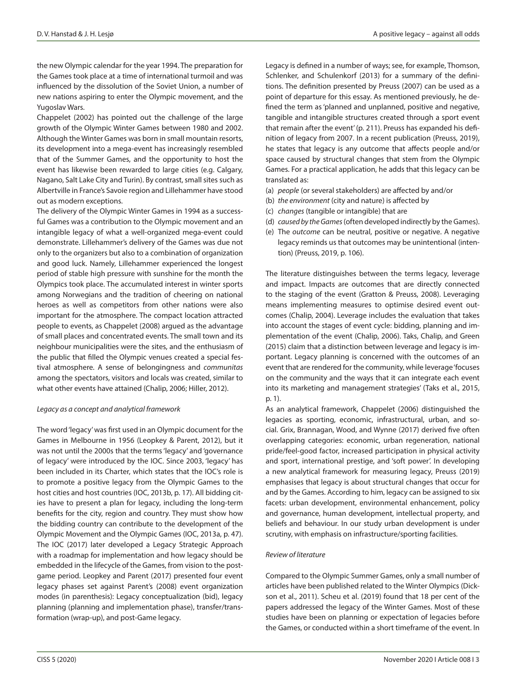the new Olympic calendar for the year 1994. The preparation for the Games took place at a time of international turmoil and was influenced by the dissolution of the Soviet Union, a number of new nations aspiring to enter the Olympic movement, and the Yugoslav Wars.

Chappelet (2002) has pointed out the challenge of the large growth of the Olympic Winter Games between 1980 and 2002. Although the Winter Games was born in small mountain resorts, its development into a mega-event has increasingly resembled that of the Summer Games, and the opportunity to host the event has likewise been rewarded to large cities (e.g. Calgary, Nagano, Salt Lake City and Turin). By contrast, small sites such as Albertville in France's Savoie region and Lillehammer have stood out as modern exceptions.

The delivery of the Olympic Winter Games in 1994 as a successful Games was a contribution to the Olympic movement and an intangible legacy of what a well-organized mega-event could demonstrate. Lillehammer's delivery of the Games was due not only to the organizers but also to a combination of organization and good luck. Namely, Lillehammer experienced the longest period of stable high pressure with sunshine for the month the Olympics took place. The accumulated interest in winter sports among Norwegians and the tradition of cheering on national heroes as well as competitors from other nations were also important for the atmosphere. The compact location attracted people to events, as Chappelet (2008) argued as the advantage of small places and concentrated events. The small town and its neighbour municipalities were the sites, and the enthusiasm of the public that filled the Olympic venues created a special festival atmosphere. A sense of belongingness and *communitas* among the spectators, visitors and locals was created, similar to what other events have attained (Chalip, 2006; Hiller, 2012).

#### *Legacy as a concept and analytical framework*

The word 'legacy' was first used in an Olympic document for the Games in Melbourne in 1956 (Leopkey & Parent, 2012), but it was not until the 2000s that the terms 'legacy' and 'governance of legacy' were introduced by the IOC. Since 2003, 'legacy' has been included in its Charter, which states that the IOC's role is to promote a positive legacy from the Olympic Games to the host cities and host countries (IOC, 2013b, p. 17). All bidding cities have to present a plan for legacy, including the long-term benefits for the city, region and country. They must show how the bidding country can contribute to the development of the Olympic Movement and the Olympic Games (IOC, 2013a, p. 47). The IOC (2017) later developed a Legacy Strategic Approach with a roadmap for implementation and how legacy should be embedded in the lifecycle of the Games, from vision to the postgame period. Leopkey and Parent (2017) presented four event legacy phases set against Parent's (2008) event organization modes (in parenthesis): Legacy conceptualization (bid), legacy planning (planning and implementation phase), transfer/transformation (wrap-up), and post-Game legacy.

Legacy is defined in a number of ways; see, for example, Thomson, Schlenker, and Schulenkorf (2013) for a summary of the definitions. The definition presented by Preuss (2007) can be used as a point of departure for this essay. As mentioned previously, he defined the term as 'planned and unplanned, positive and negative, tangible and intangible structures created through a sport event that remain after the event' (p. 211). Preuss has expanded his definition of legacy from 2007. In a recent publication (Preuss, 2019), he states that legacy is any outcome that affects people and/or space caused by structural changes that stem from the Olympic Games. For a practical application, he adds that this legacy can be translated as:

- (a) *people* (or several stakeholders) are affected by and/or
- (b) *the environment* (city and nature) is affected by
- (c) *changes* (tangible or intangible) that are
- (d) *caused by the Games* (often developed indirectly by the Games).
- (e) The *outcome* can be neutral, positive or negative. A negative legacy reminds us that outcomes may be unintentional (intention) (Preuss, 2019, p. 106).

The literature distinguishes between the terms legacy, leverage and impact. Impacts are outcomes that are directly connected to the staging of the event (Gratton & Preuss, 2008). Leveraging means implementing measures to optimise desired event outcomes (Chalip, 2004). Leverage includes the evaluation that takes into account the stages of event cycle: bidding, planning and implementation of the event (Chalip, 2006). Taks, Chalip, and Green (2015) claim that a distinction between leverage and legacy is important. Legacy planning is concerned with the outcomes of an event that are rendered for the community, while leverage 'focuses on the community and the ways that it can integrate each event into its marketing and management strategies' (Taks et al., 2015, p. 1).

As an analytical framework, Chappelet (2006) distinguished the legacies as sporting, economic, infrastructural, urban, and social. Grix, Brannagan, Wood, and Wynne (2017) derived five often overlapping categories: economic, urban regeneration, national pride/feel-good factor, increased participation in physical activity and sport, international prestige, and 'soft power'. In developing a new analytical framework for measuring legacy, Preuss (2019) emphasises that legacy is about structural changes that occur for and by the Games. According to him, legacy can be assigned to six facets: urban development, environmental enhancement, policy and governance, human development, intellectual property, and beliefs and behaviour. In our study urban development is under scrutiny, with emphasis on infrastructure/sporting facilities.

## *Review of literature*

Compared to the Olympic Summer Games, only a small number of articles have been published related to the Winter Olympics (Dickson et al., 2011). Scheu et al. (2019) found that 18 per cent of the papers addressed the legacy of the Winter Games. Most of these studies have been on planning or expectation of legacies before the Games, or conducted within a short timeframe of the event. In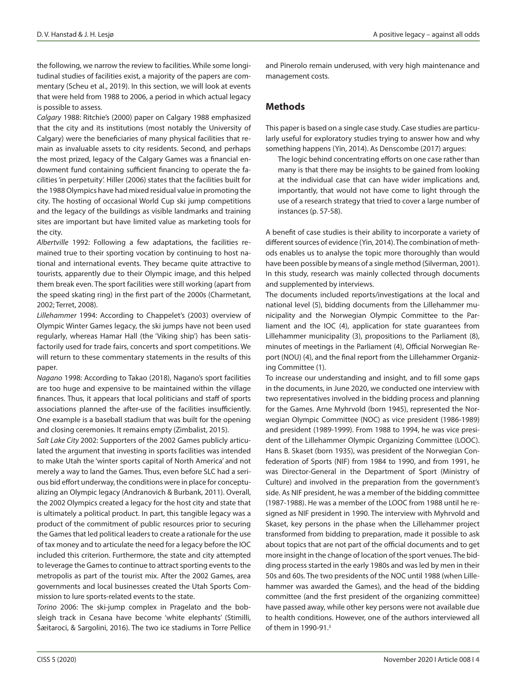the following, we narrow the review to facilities. While some longitudinal studies of facilities exist, a majority of the papers are commentary (Scheu et al., 2019). In this section, we will look at events that were held from 1988 to 2006, a period in which actual legacy is possible to assess.

*Calgary* 1988: Ritchie's (2000) paper on Calgary 1988 emphasized that the city and its institutions (most notably the University of Calgary) were the beneficiaries of many physical facilities that remain as invaluable assets to city residents. Second, and perhaps the most prized, legacy of the Calgary Games was a financial endowment fund containing sufficient financing to operate the facilities 'in perpetuity'. Hiller (2006) states that the facilities built for the 1988 Olympics have had mixed residual value in promoting the city. The hosting of occasional World Cup ski jump competitions and the legacy of the buildings as visible landmarks and training sites are important but have limited value as marketing tools for the city.

*Albertville* 1992: Following a few adaptations, the facilities remained true to their sporting vocation by continuing to host national and international events. They became quite attractive to tourists, apparently due to their Olympic image, and this helped them break even. The sport facilities were still working (apart from the speed skating ring) in the first part of the 2000s (Charmetant, 2002; Terret, 2008).

*Lillehammer* 1994: According to Chappelet's (2003) overview of Olympic Winter Games legacy, the ski jumps have not been used regularly, whereas Hamar Hall (the 'Viking ship') has been satisfactorily used for trade fairs, concerts and sport competitions. We will return to these commentary statements in the results of this paper.

*Nagano* 1998: According to Takao (2018), Nagano's sport facilities are too huge and expensive to be maintained within the village finances. Thus, it appears that local politicians and staff of sports associations planned the after-use of the facilities insufficiently. One example is a baseball stadium that was built for the opening and closing ceremonies. It remains empty (Zimbalist, 2015).

*Salt Lake City* 2002: Supporters of the 2002 Games publicly articulated the argument that investing in sports facilities was intended to make Utah the 'winter sports capital of North America' and not merely a way to land the Games. Thus, even before SLC had a serious bid effort underway, the conditions were in place for conceptualizing an Olympic legacy (Andranovich & Burbank, 2011). Overall, the 2002 Olympics created a legacy for the host city and state that is ultimately a political product. In part, this tangible legacy was a product of the commitment of public resources prior to securing the Games that led political leaders to create a rationale for the use of tax money and to articulate the need for a legacy before the IOC included this criterion. Furthermore, the state and city attempted to leverage the Games to continue to attract sporting events to the metropolis as part of the tourist mix. After the 2002 Games, area governments and local businesses created the Utah Sports Commission to lure sports-related events to the state.

*Torino* 2006: The ski-jump complex in Pragelato and the bobsleigh track in Cesana have become 'white elephants' (Stimilli, Šæitaroci, & Sargolini, 2016). The two ice stadiums in Torre Pellice and Pinerolo remain underused, with very high maintenance and management costs.

## **Methods**

This paper is based on a single case study. Case studies are particularly useful for exploratory studies trying to answer how and why something happens (Yin, 2014). As Denscombe (2017) argues:

The logic behind concentrating efforts on one case rather than many is that there may be insights to be gained from looking at the individual case that can have wider implications and, importantly, that would not have come to light through the use of a research strategy that tried to cover a large number of instances (p. 57-58).

A benefit of case studies is their ability to incorporate a variety of different sources of evidence (Yin, 2014). The combination of methods enables us to analyse the topic more thoroughly than would have been possible by means of a single method (Silverman, 2001). In this study, research was mainly collected through documents and supplemented by interviews.

The documents included reports/investigations at the local and national level (5), bidding documents from the Lillehammer municipality and the Norwegian Olympic Committee to the Parliament and the IOC (4), application for state guarantees from Lillehammer municipality (3), propositions to the Parliament (8), minutes of meetings in the Parliament (4), Official Norwegian Report (NOU) (4), and the final report from the Lillehammer Organizing Committee (1).

To increase our understanding and insight, and to fill some gaps in the documents, in June 2020, we conducted one interview with two representatives involved in the bidding process and planning for the Games. Arne Myhrvold (born 1945), represented the Norwegian Olympic Committee (NOC) as vice president (1986-1989) and president (1989-1999). From 1988 to 1994, he was vice president of the Lillehammer Olympic Organizing Committee (LOOC). Hans B. Skaset (born 1935), was president of the Norwegian Confederation of Sports (NIF) from 1984 to 1990, and from 1991, he was Director-General in the Department of Sport (Ministry of Culture) and involved in the preparation from the government's side. As NIF president, he was a member of the bidding committee (1987-1988). He was a member of the LOOC from 1988 until he resigned as NIF president in 1990. The interview with Myhrvold and Skaset, key persons in the phase when the Lillehammer project transformed from bidding to preparation, made it possible to ask about topics that are not part of the official documents and to get more insight in the change of location of the sport venues. The bidding process started in the early 1980s and was led by men in their 50s and 60s. The two presidents of the NOC until 1988 (when Lillehammer was awarded the Games), and the head of the bidding committee (and the first president of the organizing committee) have passed away, while other key persons were not available due to health conditions. However, one of the authors interviewed all of them in 1990-91.3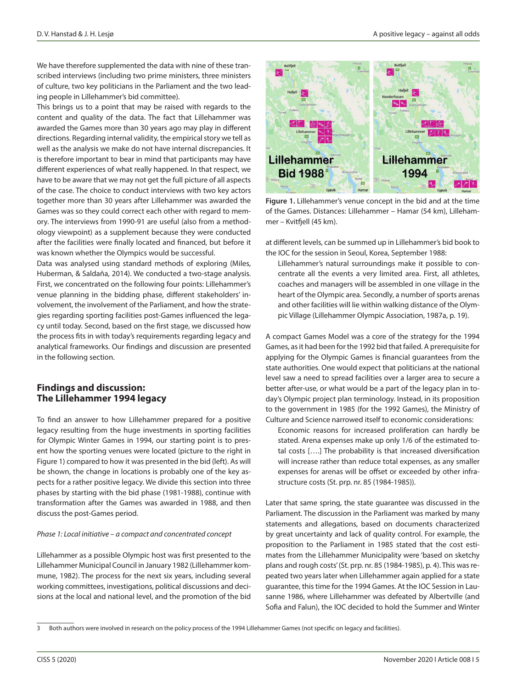We have therefore supplemented the data with nine of these transcribed interviews (including two prime ministers, three ministers of culture, two key politicians in the Parliament and the two leading people in Lillehammer's bid committee).

This brings us to a point that may be raised with regards to the content and quality of the data. The fact that Lillehammer was awarded the Games more than 30 years ago may play in different directions. Regarding internal validity, the empirical story we tell as well as the analysis we make do not have internal discrepancies. It is therefore important to bear in mind that participants may have different experiences of what really happened. In that respect, we have to be aware that we may not get the full picture of all aspects of the case. The choice to conduct interviews with two key actors together more than 30 years after Lillehammer was awarded the Games was so they could correct each other with regard to memory. The interviews from 1990-91 are useful (also from a methodology viewpoint) as a supplement because they were conducted after the facilities were finally located and financed, but before it was known whether the Olympics would be successful.

Data was analysed using standard methods of exploring (Miles, Huberman, & Saldaña, 2014). We conducted a two-stage analysis. First, we concentrated on the following four points: Lillehammer's venue planning in the bidding phase, different stakeholders' involvement, the involvement of the Parliament, and how the strategies regarding sporting facilities post-Games influenced the legacy until today. Second, based on the first stage, we discussed how the process fits in with today's requirements regarding legacy and analytical frameworks. Our findings and discussion are presented in the following section.

## **Findings and discussion: The Lillehammer 1994 legacy**

To find an answer to how Lillehammer prepared for a positive legacy resulting from the huge investments in sporting facilities for Olympic Winter Games in 1994, our starting point is to present how the sporting venues were located (picture to the right in Figure 1) compared to how it was presented in the bid (left). As will be shown, the change in locations is probably one of the key aspects for a rather positive legacy. We divide this section into three phases by starting with the bid phase (1981-1988), continue with transformation after the Games was awarded in 1988, and then discuss the post-Games period.

## *Phase 1: Local initiative – a compact and concentrated concept*

Lillehammer as a possible Olympic host was first presented to the Lillehammer Municipal Council in January 1982 (Lillehammer kommune, 1982). The process for the next six years, including several working committees, investigations, political discussions and decisions at the local and national level, and the promotion of the bid



**Figure 1.** Lillehammer's venue concept in the bid and at the time of the Games. Distances: Lillehammer – Hamar (54 km), Lillehammer – Kvitfjell (45 km).

at different levels, can be summed up in Lillehammer's bid book to the IOC for the session in Seoul, Korea, September 1988:

Lillehammer's natural surroundings make it possible to concentrate all the events a very limited area. First, all athletes, coaches and managers will be assembled in one village in the heart of the Olympic area. Secondly, a number of sports arenas and other facilities will lie within walking distance of the Olympic Village (Lillehammer Olympic Association, 1987a, p. 19).

A compact Games Model was a core of the strategy for the 1994 Games, as it had been for the 1992 bid that failed. A prerequisite for applying for the Olympic Games is financial guarantees from the state authorities. One would expect that politicians at the national level saw a need to spread facilities over a larger area to secure a better after-use, or what would be a part of the legacy plan in today's Olympic project plan terminology. Instead, in its proposition to the government in 1985 (for the 1992 Games), the Ministry of Culture and Science narrowed itself to economic considerations:

Economic reasons for increased proliferation can hardly be stated. Arena expenses make up only 1/6 of the estimated total costs [….] The probability is that increased diversification will increase rather than reduce total expenses, as any smaller expenses for arenas will be offset or exceeded by other infrastructure costs (St. prp. nr. 85 (1984-1985)).

Later that same spring, the state guarantee was discussed in the Parliament. The discussion in the Parliament was marked by many statements and allegations, based on documents characterized by great uncertainty and lack of quality control. For example, the proposition to the Parliament in 1985 stated that the cost estimates from the Lillehammer Municipality were 'based on sketchy plans and rough costs' (St. prp. nr. 85 (1984-1985), p. 4). This was repeated two years later when Lillehammer again applied for a state guarantee, this time for the 1994 Games. At the IOC Session in Lausanne 1986, where Lillehammer was defeated by Albertville (and Sofia and Falun), the IOC decided to hold the Summer and Winter

<sup>3</sup> Both authors were involved in research on the policy process of the 1994 Lillehammer Games (not specific on legacy and facilities).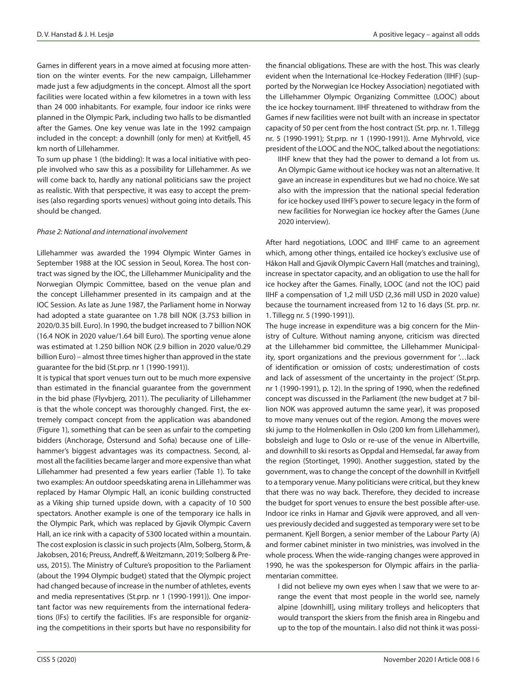Games in different years in a move aimed at focusing more attention on the winter events. For the new campaign, Lillehammer made just a few adjudgments in the concept. Almost all the sport facilities were located within a few kilometres in a town with less than 24 000 inhabitants. For example, four indoor ice rinks were planned in the Olympic Park, including two halls to be dismantled after the Games. One key venue was late in the 1992 campaign included in the concept: a downhill (only for men) at Kvitfjell, 45 km north of Lillehammer.

To sum up phase 1 (the bidding): It was a local initiative with people involved who saw this as a possibility for Lillehammer. As we will come back to, hardly any national politicians saw the project as realistic. With that perspective, it was easy to accept the premises (also regarding sports venues) without going into details. This should be changed.

#### *Phase 2: National and international involvement*

Lillehammer was awarded the 1994 Olympic Winter Games in September 1988 at the IOC session in Seoul, Korea. The host contract was signed by the IOC, the Lillehammer Municipality and the Norwegian Olympic Committee, based on the venue plan and the concept Lillehammer presented in its campaign and at the IOC Session. As late as June 1987, the Parliament home in Norway had adopted a state guarantee on 1.78 bill NOK (3.753 billion in 2020/0.35 bill. Euro). In 1990, the budget increased to 7 billion NOK (16.4 NOK in 2020 value/1.64 bill Euro). The sporting venue alone was estimated at 1.250 billion NOK (2.9 billion in 2020 value/0.29 billion Euro) – almost three times higher than approved in the state guarantee for the bid (St.prp. nr 1 (1990-1991)).

It is typical that sport venues turn out to be much more expensive than estimated in the financial guarantee from the government in the bid phase (Flyvbjerg, 2011). The peculiarity of Lillehammer is that the whole concept was thoroughly changed. First, the extremely compact concept from the application was abandoned (Figure 1), something that can be seen as unfair to the competing bidders (Anchorage, Östersund and Sofia) because one of Lillehammer's biggest advantages was its compactness. Second, almost all the facilities became larger and more expensive than what Lillehammer had presented a few years earlier (Table 1). To take two examples: An outdoor speedskating arena in Lillehammer was replaced by Hamar Olympic Hall, an iconic building constructed as a Viking ship turned upside down, with a capacity of 10 500 spectators. Another example is one of the temporary ice halls in the Olympic Park, which was replaced by Gjøvik Olympic Cavern Hall, an ice rink with a capacity of 5300 located within a mountain. The cost explosion is classic in such projects (Alm, Solberg, Storm, & Jakobsen, 2016; Preuss, Andreff, & Weitzmann, 2019; Solberg & Preuss, 2015). The Ministry of Culture's proposition to the Parliament (about the 1994 Olympic budget) stated that the Olympic project had changed because of increase in the number of athletes, events and media representatives (St.prp. nr 1 (1990-1991)). One important factor was new requirements from the international federations (IFs) to certify the facilities. IFs are responsible for organizing the competitions in their sports but have no responsibility for

the financial obligations. These are with the host. This was clearly evident when the International Ice-Hockey Federation (IIHF) (supported by the Norwegian Ice Hockey Association) negotiated with the Lillehammer Olympic Organizing Committee (LOOC) about the ice hockey tournament. IIHF threatened to withdraw from the Games if new facilities were not built with an increase in spectator capacity of 50 per cent from the host contract (St. prp. nr. 1. Tillegg nr. 5 (1990-1991); St.prp. nr 1 (1990-1991)). Arne Myhrvold, vice president of the LOOC and the NOC, talked about the negotiations: IIHF knew that they had the power to demand a lot from us. An Olympic Game without ice hockey was not an alternative. It gave an increase in expenditures but we had no choice. We sat

also with the impression that the national special federation for ice hockey used IIHF's power to secure legacy in the form of new facilities for Norwegian ice hockey after the Games (June 2020 interview).

After hard negotiations, LOOC and IIHF came to an agreement which, among other things, entailed ice hockey's exclusive use of Håkon Hall and Gjøvik Olympic Cavern Hall (matches and training), increase in spectator capacity, and an obligation to use the hall for ice hockey after the Games. Finally, LOOC (and not the IOC) paid IIHF a compensation of 1,2 mill USD (2,36 mill USD in 2020 value) because the tournament increased from 12 to 16 days (St. prp. nr. 1. Tillegg nr. 5 (1990-1991)).

The huge increase in expenditure was a big concern for the Ministry of Culture. Without naming anyone, criticism was directed at the Lillehammer bid committee, the Lillehammer Municipality, sport organizations and the previous government for '…lack of identification or omission of costs; underestimation of costs and lack of assessment of the uncertainty in the project' (St.prp. nr 1 (1990-1991), p. 12). In the spring of 1990, when the redefined concept was discussed in the Parliament (the new budget at 7 billion NOK was approved autumn the same year), it was proposed to move many venues out of the region. Among the moves were ski jump to the Holmenkollen in Oslo (200 km from Lillehammer), bobsleigh and luge to Oslo or re-use of the venue in Albertville, and downhill to ski resorts as Oppdal and Hemsedal, far away from the region (Stortinget, 1990). Another suggestion, stated by the government, was to change the concept of the downhill in Kvitfjell to a temporary venue. Many politicians were critical, but they knew that there was no way back. Therefore, they decided to increase the budget for sport venues to ensure the best possible after-use. Indoor ice rinks in Hamar and Gjøvik were approved, and all venues previously decided and suggested as temporary were set to be permanent. Kjell Borgen, a senior member of the Labour Party (A) and former cabinet minister in two ministries, was involved in the whole process. When the wide-ranging changes were approved in 1990, he was the spokesperson for Olympic affairs in the parliamentarian committee.

I did not believe my own eyes when I saw that we were to arrange the event that most people in the world see, namely alpine [downhill], using military trolleys and helicopters that would transport the skiers from the finish area in Ringebu and up to the top of the mountain. I also did not think it was possi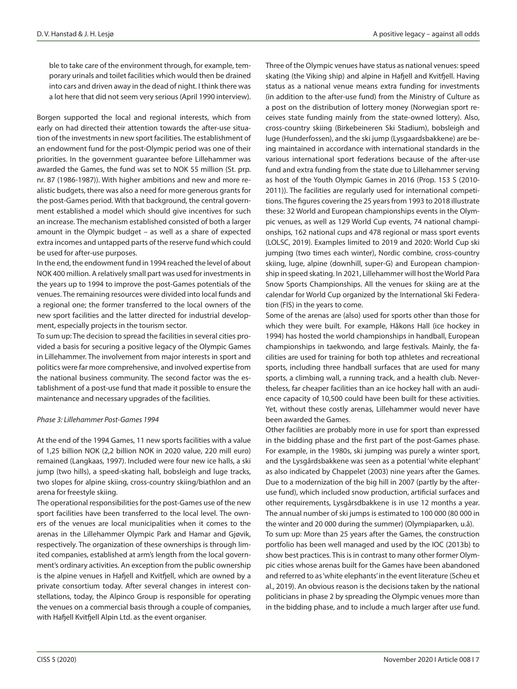ble to take care of the environment through, for example, temporary urinals and toilet facilities which would then be drained into cars and driven away in the dead of night. I think there was a lot here that did not seem very serious (April 1990 interview).

Borgen supported the local and regional interests, which from early on had directed their attention towards the after-use situation of the investments in new sport facilities. The establishment of an endowment fund for the post-Olympic period was one of their priorities. In the government guarantee before Lillehammer was awarded the Games, the fund was set to NOK 55 million (St. prp. nr. 87 (1986-1987)). With higher ambitions and new and more realistic budgets, there was also a need for more generous grants for the post-Games period. With that background, the central government established a model which should give incentives for such an increase. The mechanism established consisted of both a larger amount in the Olympic budget – as well as a share of expected extra incomes and untapped parts of the reserve fund which could be used for after-use purposes.

In the end, the endowment fund in 1994 reached the level of about NOK 400 million. A relatively small part was used for investments in the years up to 1994 to improve the post-Games potentials of the venues. The remaining resources were divided into local funds and a regional one; the former transferred to the local owners of the new sport facilities and the latter directed for industrial development, especially projects in the tourism sector.

To sum up: The decision to spread the facilities in several cities provided a basis for securing a positive legacy of the Olympic Games in Lillehammer. The involvement from major interests in sport and politics were far more comprehensive, and involved expertise from the national business community. The second factor was the establishment of a post-use fund that made it possible to ensure the maintenance and necessary upgrades of the facilities.

## *Phase 3: Lillehammer Post-Games 1994*

At the end of the 1994 Games, 11 new sports facilities with a value of 1,25 billion NOK (2,2 billion NOK in 2020 value, 220 mill euro) remained (Langkaas, 1997). Included were four new ice halls, a ski jump (two hills), a speed-skating hall, bobsleigh and luge tracks, two slopes for alpine skiing, cross-country skiing/biathlon and an arena for freestyle skiing.

The operational responsibilities for the post-Games use of the new sport facilities have been transferred to the local level. The owners of the venues are local municipalities when it comes to the arenas in the Lillehammer Olympic Park and Hamar and Gjøvik, respectively. The organization of these ownerships is through limited companies, established at arm's length from the local government's ordinary activities. An exception from the public ownership is the alpine venues in Hafjell and Kvitfjell, which are owned by a private consortium today. After several changes in interest constellations, today, the Alpinco Group is responsible for operating the venues on a commercial basis through a couple of companies, with Hafjell Kvitfjell Alpin Ltd. as the event organiser.

Three of the Olympic venues have status as national venues: speed skating (the Viking ship) and alpine in Hafjell and Kvitfjell. Having status as a national venue means extra funding for investments (in addition to the after-use fund) from the Ministry of Culture as a post on the distribution of lottery money (Norwegian sport receives state funding mainly from the state-owned lottery). Also, cross-country skiing (Birkebeineren Ski Stadium), bobsleigh and luge (Hunderfossen), and the ski jump (Lysgaardsbakkene) are being maintained in accordance with international standards in the various international sport federations because of the after-use fund and extra funding from the state due to Lillehammer serving as host of the Youth Olympic Games in 2016 (Prop. 153 S (2010- 2011)). The facilities are regularly used for international competitions. The figures covering the 25 years from 1993 to 2018 illustrate these: 32 World and European championships events in the Olympic venues, as well as 129 World Cup events, 74 national championships, 162 national cups and 478 regional or mass sport events (LOLSC, 2019). Examples limited to 2019 and 2020: World Cup ski jumping (two times each winter), Nordic combine, cross-country skiing, luge, alpine (downhill, super-G) and European championship in speed skating. In 2021, Lillehammer will host the World Para Snow Sports Championships. All the venues for skiing are at the calendar for World Cup organized by the International Ski Federation (FIS) in the years to come.

Some of the arenas are (also) used for sports other than those for which they were built. For example, Håkons Hall (ice hockey in 1994) has hosted the world championships in handball, European championships in taekwondo, and large festivals. Mainly, the facilities are used for training for both top athletes and recreational sports, including three handball surfaces that are used for many sports, a climbing wall, a running track, and a health club. Nevertheless, far cheaper facilities than an ice hockey hall with an audience capacity of 10,500 could have been built for these activities. Yet, without these costly arenas, Lillehammer would never have been awarded the Games.

Other facilities are probably more in use for sport than expressed in the bidding phase and the first part of the post-Games phase. For example, in the 1980s, ski jumping was purely a winter sport, and the Lysgårdsbakkene was seen as a potential 'white elephant' as also indicated by Chappelet (2003) nine years after the Games. Due to a modernization of the big hill in 2007 (partly by the afteruse fund), which included snow production, artificial surfaces and other requirements, Lysgårsdbakkene is in use 12 months a year. The annual number of ski jumps is estimated to 100 000 (80 000 in the winter and 20 000 during the summer) (Olympiaparken, u.å). To sum up: More than 25 years after the Games, the construction portfolio has been well managed and used by the IOC (2013b) to show best practices. This is in contrast to many other former Olympic cities whose arenas built for the Games have been abandoned and referred to as 'white elephants' in the event literature (Scheu et al., 2019). An obvious reason is the decisions taken by the national politicians in phase 2 by spreading the Olympic venues more than in the bidding phase, and to include a much larger after use fund.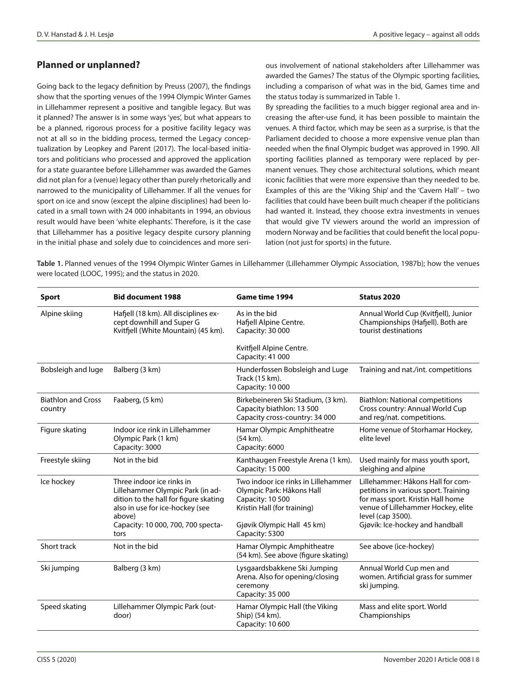# **Planned or unplanned?**

Going back to the legacy definition by Preuss (2007), the findings show that the sporting venues of the 1994 Olympic Winter Games in Lillehammer represent a positive and tangible legacy. But was it planned? The answer is in some ways 'yes', but what appears to be a planned, rigorous process for a positive facility legacy was not at all so in the bidding process, termed the Legacy conceptualization by Leopkey and Parent (2017). The local-based initiators and politicians who processed and approved the application for a state guarantee before Lillehammer was awarded the Games did not plan for a (venue) legacy other than purely rhetorically and narrowed to the municipality of Lillehammer. If all the venues for sport on ice and snow (except the alpine disciplines) had been located in a small town with 24 000 inhabitants in 1994, an obvious result would have been 'white elephants'. Therefore, is it the case that Lillehammer has a positive legacy despite cursory planning in the initial phase and solely due to coincidences and more serious involvement of national stakeholders after Lillehammer was awarded the Games? The status of the Olympic sporting facilities, including a comparison of what was in the bid, Games time and the status today is summarized in Table 1.

By spreading the facilities to a much bigger regional area and increasing the after-use fund, it has been possible to maintain the venues. A third factor, which may be seen as a surprise, is that the Parliament decided to choose a more expensive venue plan than needed when the final Olympic budget was approved in 1990. All sporting facilities planned as temporary were replaced by permanent venues. They chose architectural solutions, which meant iconic facilities that were more expensive than they needed to be. Examples of this are the 'Viking Ship' and the 'Cavern Hall' – two facilities that could have been built much cheaper if the politicians had wanted it. Instead, they choose extra investments in venues that would give TV viewers around the world an impression of modern Norway and be facilities that could benefit the local population (not just for sports) in the future.

**Table 1.** Planned venues of the 1994 Olympic Winter Games in Lillehammer (Lillehammer Olympic Association, 1987b); how the venues were located (LOOC, 1995); and the status in 2020.

| <b>Sport</b>                         | <b>Bid document 1988</b>                                                                                                                            | <b>Game time 1994</b>                                                                                               | Status 2020                                                                                                                                                               |
|--------------------------------------|-----------------------------------------------------------------------------------------------------------------------------------------------------|---------------------------------------------------------------------------------------------------------------------|---------------------------------------------------------------------------------------------------------------------------------------------------------------------------|
| Alpine skiing                        | Hafjell (18 km). All disciplines ex-<br>cept downhill and Super G<br>Kvitfiell (White Mountain) (45 km).                                            | As in the bid<br>Hafjell Alpine Centre.<br>Capacity: 30 000                                                         | Annual World Cup (Kvitfjell), Junior<br>Championships (Hafjell). Both are<br>tourist destinations                                                                         |
|                                      |                                                                                                                                                     | Kvitfjell Alpine Centre.<br>Capacity: 41 000                                                                        |                                                                                                                                                                           |
| Bobsleigh and luge                   | Balberg (3 km)                                                                                                                                      | Hunderfossen Bobsleigh and Luge<br>Track (15 km).<br>Capacity: 10 000                                               | Training and nat./int. competitions                                                                                                                                       |
| <b>Biathlon and Cross</b><br>country | Faaberg, (5 km)                                                                                                                                     | Birkebeineren Ski Stadium, (3 km).<br>Capacity biathlon: 13 500<br>Capacity cross-country: 34 000                   | <b>Biathlon: National competitions</b><br>Cross country: Annual World Cup<br>and reg/nat. competitions.                                                                   |
| Figure skating                       | Indoor ice rink in Lillehammer<br>Olympic Park (1 km)<br>Capacity: 3000                                                                             | Hamar Olympic Amphitheatre<br>(54 km).<br>Capacity: 6000                                                            | Home venue of Storhamar Hockey,<br>elite level                                                                                                                            |
| Freestyle skiing                     | Not in the bid                                                                                                                                      | Kanthaugen Freestyle Arena (1 km).<br>Capacity: 15 000                                                              | Used mainly for mass youth sport,<br>sleighing and alpine                                                                                                                 |
| Ice hockey                           | Three indoor ice rinks in<br>Lillehammer Olympic Park (in ad-<br>dition to the hall for figure skating<br>also in use for ice-hockey (see<br>above) | Two indoor ice rinks in Lillehammer<br>Olympic Park: Håkons Hall<br>Capacity: 10 500<br>Kristin Hall (for training) | Lillehammer: Håkons Hall for com-<br>petitions in various sport. Training<br>for mass sport. Kristin Hall home<br>venue of Lillehammer Hockey, elite<br>level (cap 3500). |
|                                      | Capacity: 10 000, 700, 700 specta-<br>tors                                                                                                          | Gjøvik Olympic Hall 45 km)<br>Capacity: 5300                                                                        | Gjøvik: Ice-hockey and handball                                                                                                                                           |
| Short track                          | Not in the bid                                                                                                                                      | Hamar Olympic Amphitheatre<br>(54 km). See above (figure skating)                                                   | See above (ice-hockey)                                                                                                                                                    |
| Ski jumping                          | Balberg (3 km)                                                                                                                                      | Lysgaardsbakkene Ski Jumping<br>Arena. Also for opening/closing<br>ceremony<br>Capacity: 35 000                     | Annual World Cup men and<br>women. Artificial grass for summer<br>ski jumping.                                                                                            |
| Speed skating                        | Lillehammer Olympic Park (out-<br>door)                                                                                                             | Hamar Olympic Hall (the Viking<br>Ship) (54 km).<br>Capacity: 10 600                                                | Mass and elite sport. World<br>Championships                                                                                                                              |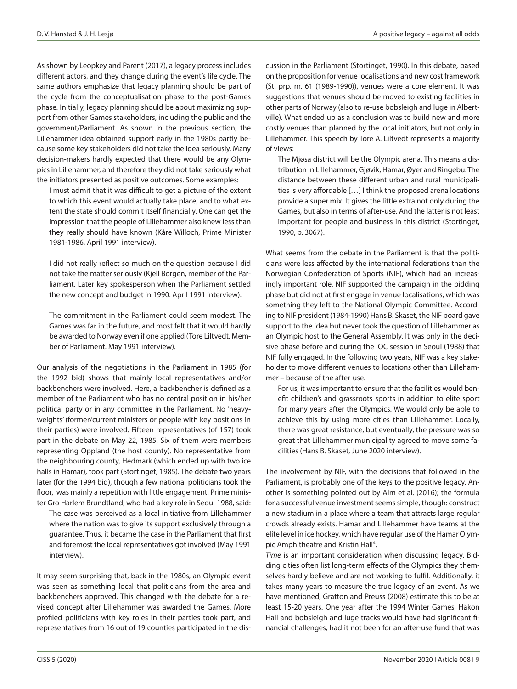As shown by Leopkey and Parent (2017), a legacy process includes different actors, and they change during the event's life cycle. The same authors emphasize that legacy planning should be part of the cycle from the conceptualisation phase to the post-Games phase. Initially, legacy planning should be about maximizing support from other Games stakeholders, including the public and the government/Parliament. As shown in the previous section, the Lillehammer idea obtained support early in the 1980s partly because some key stakeholders did not take the idea seriously. Many decision-makers hardly expected that there would be any Olympics in Lillehammer, and therefore they did not take seriously what the initiators presented as positive outcomes. Some examples:

I must admit that it was difficult to get a picture of the extent to which this event would actually take place, and to what extent the state should commit itself financially. One can get the impression that the people of Lillehammer also knew less than they really should have known (Kåre Willoch, Prime Minister 1981-1986, April 1991 interview).

I did not really reflect so much on the question because I did not take the matter seriously (Kjell Borgen, member of the Parliament. Later key spokesperson when the Parliament settled the new concept and budget in 1990. April 1991 interview).

The commitment in the Parliament could seem modest. The Games was far in the future, and most felt that it would hardly be awarded to Norway even if one applied (Tore Liltvedt, Member of Parliament. May 1991 interview).

Our analysis of the negotiations in the Parliament in 1985 (for the 1992 bid) shows that mainly local representatives and/or backbenchers were involved. Here, a backbencher is defined as a member of the Parliament who has no central position in his/her political party or in any committee in the Parliament. No 'heavyweights' (former/current ministers or people with key positions in their parties) were involved. Fifteen representatives (of 157) took part in the debate on May 22, 1985. Six of them were members representing Oppland (the host county). No representative from the neighbouring county, Hedmark (which ended up with two ice halls in Hamar), took part (Stortinget, 1985). The debate two years later (for the 1994 bid), though a few national politicians took the floor, was mainly a repetition with little engagement. Prime minister Gro Harlem Brundtland, who had a key role in Seoul 1988, said:

The case was perceived as a local initiative from Lillehammer where the nation was to give its support exclusively through a guarantee. Thus, it became the case in the Parliament that first and foremost the local representatives got involved (May 1991 interview).

It may seem surprising that, back in the 1980s, an Olympic event was seen as something local that politicians from the area and backbenchers approved. This changed with the debate for a revised concept after Lillehammer was awarded the Games. More profiled politicians with key roles in their parties took part, and representatives from 16 out of 19 counties participated in the discussion in the Parliament (Stortinget, 1990). In this debate, based on the proposition for venue localisations and new cost framework (St. prp. nr. 61 (1989-1990)), venues were a core element. It was suggestions that venues should be moved to existing facilities in other parts of Norway (also to re-use bobsleigh and luge in Albertville). What ended up as a conclusion was to build new and more costly venues than planned by the local initiators, but not only in Lillehammer. This speech by Tore A. Liltvedt represents a majority of views:

The Mjøsa district will be the Olympic arena. This means a distribution in Lillehammer, Gjøvik, Hamar, Øyer and Ringebu. The distance between these different urban and rural municipalities is very affordable […] I think the proposed arena locations provide a super mix. It gives the little extra not only during the Games, but also in terms of after-use. And the latter is not least important for people and business in this district (Stortinget, 1990, p. 3067).

What seems from the debate in the Parliament is that the politicians were less affected by the international federations than the Norwegian Confederation of Sports (NIF), which had an increasingly important role. NIF supported the campaign in the bidding phase but did not at first engage in venue localisations, which was something they left to the National Olympic Committee. According to NIF president (1984-1990) Hans B. Skaset, the NIF board gave support to the idea but never took the question of Lillehammer as an Olympic host to the General Assembly. It was only in the decisive phase before and during the IOC session in Seoul (1988) that NIF fully engaged. In the following two years, NIF was a key stakeholder to move different venues to locations other than Lillehammer – because of the after-use.

For us, it was important to ensure that the facilities would benefit children's and grassroots sports in addition to elite sport for many years after the Olympics. We would only be able to achieve this by using more cities than Lillehammer. Locally, there was great resistance, but eventually, the pressure was so great that Lillehammer municipality agreed to move some facilities (Hans B. Skaset, June 2020 interview).

The involvement by NIF, with the decisions that followed in the Parliament, is probably one of the keys to the positive legacy. Another is something pointed out by Alm et al. (2016); the formula for a successful venue investment seems simple, though: construct a new stadium in a place where a team that attracts large regular crowds already exists. Hamar and Lillehammer have teams at the elite level in ice hockey, which have regular use of the Hamar Olympic Amphitheatre and Kristin Hall<sup>4</sup>.

*Time* is an important consideration when discussing legacy. Bidding cities often list long-term effects of the Olympics they themselves hardly believe and are not working to fulfil. Additionally, it takes many years to measure the true legacy of an event. As we have mentioned, Gratton and Preuss (2008) estimate this to be at least 15-20 years. One year after the 1994 Winter Games, Håkon Hall and bobsleigh and luge tracks would have had significant financial challenges, had it not been for an after-use fund that was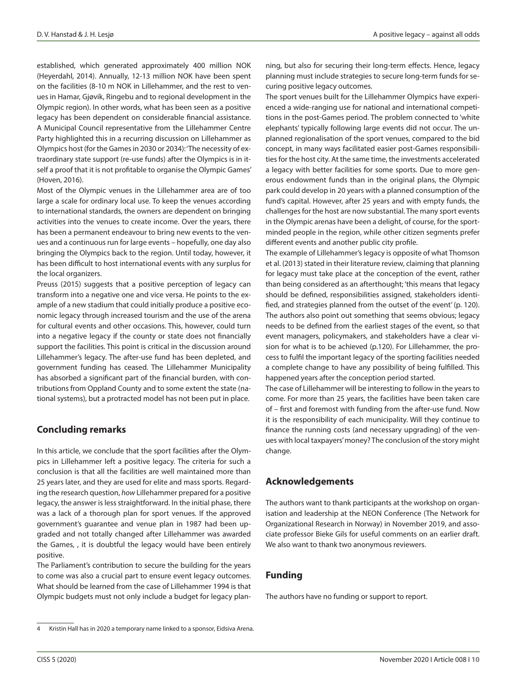established, which generated approximately 400 million NOK (Heyerdahl, 2014). Annually, 12-13 million NOK have been spent on the facilities (8-10 m NOK in Lillehammer, and the rest to venues in Hamar, Gjøvik, Ringebu and to regional development in the Olympic region). In other words, what has been seen as a positive legacy has been dependent on considerable financial assistance. A Municipal Council representative from the Lillehammer Centre Party highlighted this in a recurring discussion on Lillehammer as Olympics host (for the Games in 2030 or 2034): 'The necessity of extraordinary state support (re-use funds) after the Olympics is in itself a proof that it is not profitable to organise the Olympic Games' (Hoven, 2016).

Most of the Olympic venues in the Lillehammer area are of too large a scale for ordinary local use. To keep the venues according to international standards, the owners are dependent on bringing activities into the venues to create income. Over the years, there has been a permanent endeavour to bring new events to the venues and a continuous run for large events – hopefully, one day also bringing the Olympics back to the region. Until today, however, it has been difficult to host international events with any surplus for the local organizers.

Preuss (2015) suggests that a positive perception of legacy can transform into a negative one and vice versa. He points to the example of a new stadium that could initially produce a positive economic legacy through increased tourism and the use of the arena for cultural events and other occasions. This, however, could turn into a negative legacy if the county or state does not financially support the facilities. This point is critical in the discussion around Lillehammer's legacy. The after-use fund has been depleted, and government funding has ceased. The Lillehammer Municipality has absorbed a significant part of the financial burden, with contributions from Oppland County and to some extent the state (national systems), but a protracted model has not been put in place.

# **Concluding remarks**

In this article, we conclude that the sport facilities after the Olympics in Lillehammer left a positive legacy. The criteria for such a conclusion is that all the facilities are well maintained more than 25 years later, and they are used for elite and mass sports. Regarding the research question, *how* Lillehammer prepared for a positive legacy, the answer is less straightforward. In the initial phase, there was a lack of a thorough plan for sport venues. If the approved government's guarantee and venue plan in 1987 had been upgraded and not totally changed after Lillehammer was awarded the Games, , it is doubtful the legacy would have been entirely positive.

The Parliament's contribution to secure the building for the years to come was also a crucial part to ensure event legacy outcomes. What should be learned from the case of Lillehammer 1994 is that Olympic budgets must not only include a budget for legacy planning, but also for securing their long-term effects. Hence, legacy planning must include strategies to secure long-term funds for securing positive legacy outcomes.

The sport venues built for the Lillehammer Olympics have experienced a wide-ranging use for national and international competitions in the post-Games period. The problem connected to 'white elephants' typically following large events did not occur. The unplanned regionalisation of the sport venues, compared to the bid concept, in many ways facilitated easier post-Games responsibilities for the host city. At the same time, the investments accelerated a legacy with better facilities for some sports. Due to more generous endowment funds than in the original plans, the Olympic park could develop in 20 years with a planned consumption of the fund's capital. However, after 25 years and with empty funds, the challenges for the host are now substantial. The many sport events in the Olympic arenas have been a delight, of course, for the sportminded people in the region, while other citizen segments prefer different events and another public city profile.

The example of Lillehammer's legacy is opposite of what Thomson et al. (2013) stated in their literature review, claiming that planning for legacy must take place at the conception of the event, rather than being considered as an afterthought; 'this means that legacy should be defined, responsibilities assigned, stakeholders identified, and strategies planned from the outset of the event' (p. 120). The authors also point out something that seems obvious; legacy needs to be defined from the earliest stages of the event, so that event managers, policymakers, and stakeholders have a clear vision for what is to be achieved (p.120). For Lillehammer, the process to fulfil the important legacy of the sporting facilities needed a complete change to have any possibility of being fulfilled. This happened years after the conception period started.

The case of Lillehammer will be interesting to follow in the years to come. For more than 25 years, the facilities have been taken care of – first and foremost with funding from the after-use fund. Now it is the responsibility of each municipality. Will they continue to finance the running costs (and necessary upgrading) of the venues with local taxpayers' money? The conclusion of the story might change.

## **Acknowledgements**

The authors want to thank participants at the workshop on organisation and leadership at the NEON Conference (The Network for Organizational Research in Norway) in November 2019, and associate professor Bieke Gils for useful comments on an earlier draft. We also want to thank two anonymous reviewers.

## **Funding**

The authors have no funding or support to report.

<sup>4</sup> Kristin Hall has in 2020 a temporary name linked to a sponsor, Eidsiva Arena.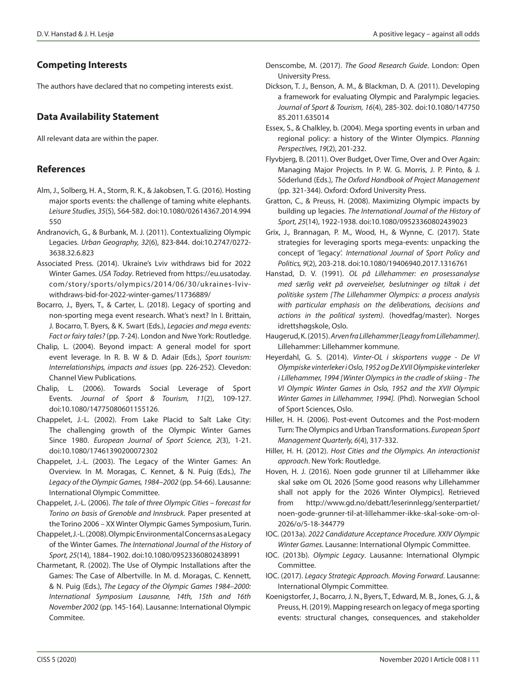## **Competing Interests**

The authors have declared that no competing interests exist.

# **Data Availability Statement**

All relevant data are within the paper.

## **References**

- Alm, J., Solberg, H. A., Storm, R. K., & Jakobsen, T. G. (2016). Hosting major sports events: the challenge of taming white elephants. *Leisure Studies, 35*(5), 564-582. doi:10.1080/02614367.2014.994 550
- Andranovich, G., & Burbank, M. J. (2011). Contextualizing Olympic Legacies. *Urban Geography, 32*(6), 823-844. doi:10.2747/0272- 3638.32.6.823
- Associated Press. (2014). Ukraine's Lviv withdraws bid for 2022 Winter Games. *USA Today*. Retrieved from https://eu.usatoday. com/story/sports/olympics/2014/06/30/ukraines-lvivwithdraws-bid-for-2022-winter-games/11736889/
- Bocarro, J., Byers, T., & Carter, L. (2018). Legacy of sporting and non-sporting mega event research. What's next? In I. Brittain, J. Bocarro, T. Byers, & K. Swart (Eds.), *Legacies and mega events: Fact or fairy tales?* (pp. 7-24). London and Nwe York: Routledge.
- Chalip, L. (2004). Beyond impact: A general model for sport event leverage. In R. B. W & D. Adair (Eds.), *Sport tourism: Interrelationships, impacts and issues* (pp. 226-252). Clevedon: Channel View Publications.
- Chalip, L. (2006). Towards Social Leverage of Sport Events. *Journal of Sport & Tourism, 11*(2), 109-127. doi:10.1080/14775080601155126.
- Chappelet, J.-L. (2002). From Lake Placid to Salt Lake City: The challenging growth of the Olympic Winter Games Since 1980. *European Journal of Sport Science, 2*(3), 1-21. doi:10.1080/17461390200072302
- Chappelet, J.-L. (2003). The Legacy of the Winter Games: An Overview. In M. Moragas, C. Kennet, & N. Puig (Eds.), *The Legacy of the Olympic Games, 1984–2002* (pp. 54-66). Lausanne: International Olympic Committee.
- Chappelet, J.-L. (2006). *The tale of three Olympic Cities forecast for Torino on basis of Grenoble and Innsbruck.* Paper presented at the Torino 2006 – XX Winter Olympic Games Symposium, Turin.
- Chappelet, J.-L. (2008). Olympic Environmental Concerns as a Legacy of the Winter Games. *The International Journal of the History of Sport, 25*(14), 1884–1902. doi:10.1080/09523360802438991
- Charmetant, R. (2002). The Use of Olympic Installations after the Games: The Case of Albertville. In M. d. Moragas, C. Kennett, & N. Puig (Eds.), *The Legacy of the Olympic Games 1984–2000: International Symposium Lausanne, 14th, 15th and 16th November 2002* (pp. 145-164). Lausanne: International Olympic Commitee.
- Denscombe, M. (2017). *The Good Research Guide*. London: Open University Press.
- Dickson, T. J., Benson, A. M., & Blackman, D. A. (2011). Developing a framework for evaluating Olympic and Paralympic legacies. *Journal of Sport & Tourism, 16*(4), 285-302. doi:10.1080/147750 85.2011.635014
- Essex, S., & Chalkley, b. (2004). Mega sporting events in urban and regional policy: a history of the Winter Olympics. *Planning Perspectives, 19*(2), 201-232.
- Flyvbjerg, B. (2011). Over Budget, Over Time, Over and Over Again: Managing Major Projects. In P. W. G. Morris, J. P. Pinto, & J. Söderlund (Eds.), *The Oxford Handbook of Project Management* (pp. 321-344). Oxford: Oxford University Press.
- Gratton, C., & Preuss, H. (2008). Maximizing Olympic impacts by building up legacies. *The International Journal of the History of Sport, 25*(14), 1922-1938. doi:10.1080/09523360802439023
- Grix, J., Brannagan, P. M., Wood, H., & Wynne, C. (2017). State strategies for leveraging sports mega-events: unpacking the concept of 'legacy'. *International Journal of Sport Policy and Politics, 9*(2), 203-218. doi:10.1080/19406940.2017.1316761
- Hanstad, D. V. (1991). *OL på Lillehammer: en prosessanalyse med særlig vekt på overveielser, beslutninger og tiltak i det politiske system [The Lillehammer Olympics: a process analysis with particular emphasis on the deliberations, decisions and actions in the political system).* (hovedfag/master). Norges idrettshøgskole, Oslo.
- Haugerud, K. (2015). *Arven fra Lillehammer [Leagy from Lillehammer]*. Lillehammer: Lillehammer kommune.
- Heyerdahl, G. S. (2014). *Vinter-OL i skisportens vugge De VI Olympiske vinterleker i Oslo, 1952 og De XVII Olympiske vinterleker i Lillehammer, 1994 [Winter Olympics in the cradle of skiing - The VI Olympic Winter Games in Oslo, 1952 and the XVII Olympic Winter Games in Lillehammer, 1994].* (Phd). Norwegian School of Sport Sciences, Oslo.
- Hiller, H. H. (2006). Post-event Outcomes and the Post-modern Turn: The Olympics and Urban Transformations. *European Sport Management Quarterly, 6*(4), 317-332.
- Hiller, H. H. (2012). *Host Cities and the Olympics. An interactionist approach*. New York: Routledge.
- Hoven, H. J. (2016). Noen gode grunner til at Lillehammer ikke skal søke om OL 2026 [Some good reasons why Lillehammer shall not apply for the 2026 Winter Olympics]. Retrieved from http://www.gd.no/debatt/leserinnlegg/senterpartiet/ noen-gode-grunner-til-at-lillehammer-ikke-skal-soke-om-ol-2026/o/5-18-344779
- IOC. (2013a). *2022 Candidature Acceptance Procedure. XXIV Olympic Winter Games*. Lausanne: International Olympic Committee.
- IOC. (2013b). *Olympic Legacy*. Lausanne: International Olympic Committee.
- IOC. (2017). *Legacy Strategic Approach. Moving Forward*. Lausanne: International Olympic Committee.
- Koenigstorfer, J., Bocarro, J. N., Byers, T., Edward, M. B., Jones, G. J., & Preuss, H. (2019). Mapping research on legacy of mega sporting events: structural changes, consequences, and stakeholder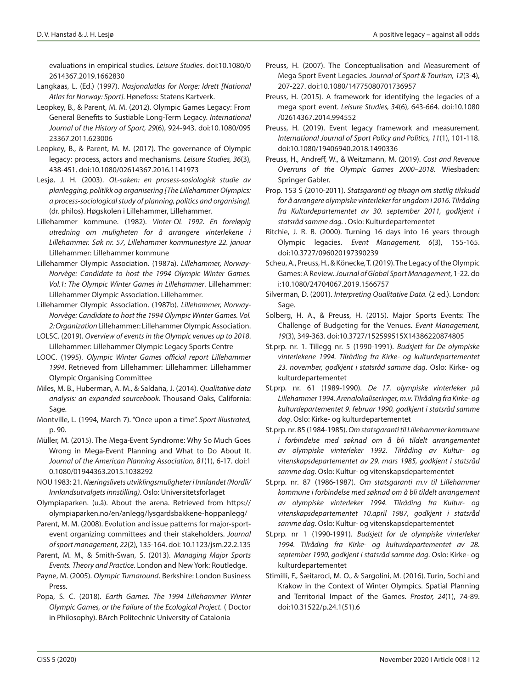evaluations in empirical studies. *Leisure Studies*. doi:10.1080/0 2614367.2019.1662830

- Langkaas, L. (Ed.) (1997). *Nasjonalatlas for Norge: Idrett [National Atlas for Norway: Sport]*. Hønefoss: Statens Kartverk.
- Leopkey, B., & Parent, M. M. (2012). Olympic Games Legacy: From General Benefits to Sustiable Long-Term Legacy. *International Journal of the History of Sport, 29*(6), 924-943. doi:10.1080/095 23367.2011.623006
- Leopkey, B., & Parent, M. M. (2017). The governance of Olympic legacy: process, actors and mechanisms. *Leisure Studies, 36*(3), 438-451. doi:10.1080/02614367.2016.1141973
- Lesjø, J. H. (2003). *OL-saken: en prosess-sosiologisk studie av planlegging, politikk og organisering [The Lillehammer Olympics: a process-sociological study of planning, politics and organising].* (dr. philos). Høgskolen i Lillehammer, Lillehammer.
- Lillehammer kommune. (1982). *Vinter-OL 1992. En foreløpig utredning om muligheten for å arrangere vinterlekene i Lillehammer. Sak nr. 57, Lillehammer kommunestyre 22. januar*  Lillehammer: Lillehammer kommune
- Lillehammer Olympic Association. (1987a). *Lillehammer, Norway-Norvège: Candidate to host the 1994 Olympic Winter Games. Vol.1: The Olympic Winter Games in Lillehammer*. Lillehammer: Lillehammer Olympic Association. Lillehammer.
- Lillehammer Olympic Association. (1987b). *Lillehammer, Norway-Norvège: Candidate to host the 1994 Olympic Winter Games. Vol. 2: Organization* Lillehammer: Lillehammer Olympic Association.
- LOLSC. (2019). *Overview of events in the Olympic venues up to 2018*. Lillehammer: Lillehammer Olympic Legacy Sports Centre
- LOOC. (1995). *Olympic Winter Games official report Lillehammer 1994*. Retrieved from Lillehammer: Lillehammer: Lillehammer Olympic Organising Committee
- Miles, M. B., Huberman, A. M., & Saldaña, J. (2014). *Qualitative data analysis: an expanded sourcebook*. Thousand Oaks, California: Sage.
- Montville, L. (1994, March 7). "Once upon a time". *Sport Illustrated,* p. 90.
- Müller, M. (2015). The Mega-Event Syndrome: Why So Much Goes Wrong in Mega-Event Planning and What to Do About It. *Journal of the American Planning Association, 81*(1), 6-17. doi:1 0.1080/01944363.2015.1038292
- NOU 1983: 21. *Næringslivets utviklingsmuligheter i Innlandet (Nordli/ Innlandsutvalgets innstilling)*. Oslo: Universitetsforlaget
- Olympiaparken. (u.å). About the arena. Retrieved from https:// olympiaparken.no/en/anlegg/lysgardsbakkene-hoppanlegg/
- Parent, M. M. (2008). Evolution and issue patterns for major-sportevent organizing committees and their stakeholders. *Journal of sport management, 22*(2), 135-164. doi: 10.1123/jsm.22.2.135
- Parent, M. M., & Smith-Swan, S. (2013). *Managing Major Sports Events. Theory and Practice*. London and New York: Routledge.
- Payne, M. (2005). *Olympic Turnaround*. Berkshire: London Business Press.
- Popa, S. C. (2018). *Earth Games. The 1994 Lillehammer Winter Olympic Games, or the Failure of the Ecological Project.* ( Doctor in Philosophy). BArch Politechnic University of Catalonia
- Preuss, H. (2007). The Conceptualisation and Measurement of Mega Sport Event Legacies. *Journal of Sport & Tourism, 12*(3-4), 207-227. doi:10.1080/14775080701736957
- Preuss, H. (2015). A framework for identifying the legacies of a mega sport event. *Leisure Studies, 34*(6), 643-664. doi:10.1080 /02614367.2014.994552
- Preuss, H. (2019). Event legacy framework and measurement. *International Journal of Sport Policy and Politics, 11*(1), 101-118. doi:10.1080/19406940.2018.1490336
- Preuss, H., Andreff, W., & Weitzmann, M. (2019). *Cost and Revenue Overruns of the Olympic Games 2000–2018*. Wiesbaden: Springer Gabler.
- Prop. 153 S (2010-2011). *Statsgaranti og tilsagn om statlig tilskudd for å arrangere olympiske vinterleker for ungdom i 2016. Tilråding fra Kulturdepartementet av 30. september 2011, godkjent i statsråd samme dag.* . Oslo: Kulturdepartementet
- Ritchie, J. R. B. (2000). Turning 16 days into 16 years through Olympic legacies. *Event Management, 6*(3), 155-165. doi:10.3727/096020197390239
- Scheu, A., Preuss, H., & Könecke, T. (2019). The Legacy of the Olympic Games: A Review. *Journal of Global Sport Management*, 1-22. do i:10.1080/24704067.2019.1566757
- Silverman, D. (2001). *Interpreting Qualitative Data.* (2 ed.). London: Sage.
- Solberg, H. A., & Preuss, H. (2015). Major Sports Events: The Challenge of Budgeting for the Venues. *Event Management, 19*(3), 349-363. doi:10.3727/152599515X14386220874805
- St.prp. nr. 1. Tillegg nr. 5 (1990-1991). *Budsjett for De olympiske vinterlekene 1994. Tilråding fra Kirke- og kulturdepartementet 23. november, godkjent i statsråd samme dag*. Oslo: Kirke- og kulturdepartementet
- St.prp. nr. 61 (1989-1990). *De 17. olympiske vinterleker på Lillehammer 1994. Arenalokaliseringer, m.v. Tilråding fra Kirke- og kulturdepartementet 9. februar 1990, godkjent i statsråd samme dag*. Oslo: Kirke- og kulturdepartementet
- St.prp. nr. 85 (1984-1985). *Om statsgaranti til Lillehammer kommune i forbindelse med søknad om å bli tildelt arrangementet av olympiske vinterleker 1992. Tilråding av Kultur- og vitenskapsdepartementet av 29. mars 1985, godkjent i statsråd samme dag*. Oslo: Kultur- og vitenskapsdepartementet
- St.prp. nr. 87 (1986-1987). *Om statsgaranti m.v til Lillehammer kommune i forbindelse med søknad om å bli tildelt arrangement av olympiske vinterleker 1994. Tilråding fra Kultur- og vitenskapsdepartementet 10.april 1987, godkjent i statsråd samme dag*. Oslo: Kultur- og vitenskapsdepartementet
- St.prp. nr 1 (1990-1991). *Budsjett for de olympiske vinterleker 1994. Tilråding fra Kirke- og kulturdepartementet av 28. september 1990, godkjent i statsråd samme dag*. Oslo: Kirke- og kulturdepartementet
- Stimilli, F., Šæitaroci, M. O., & Sargolini, M. (2016). Turin, Sochi and Krakow in the Context of Winter Olympics. Spatial Planning and Territorial Impact of the Games. *Prostor, 24*(1), 74-89. doi:10.31522/p.24.1(51).6